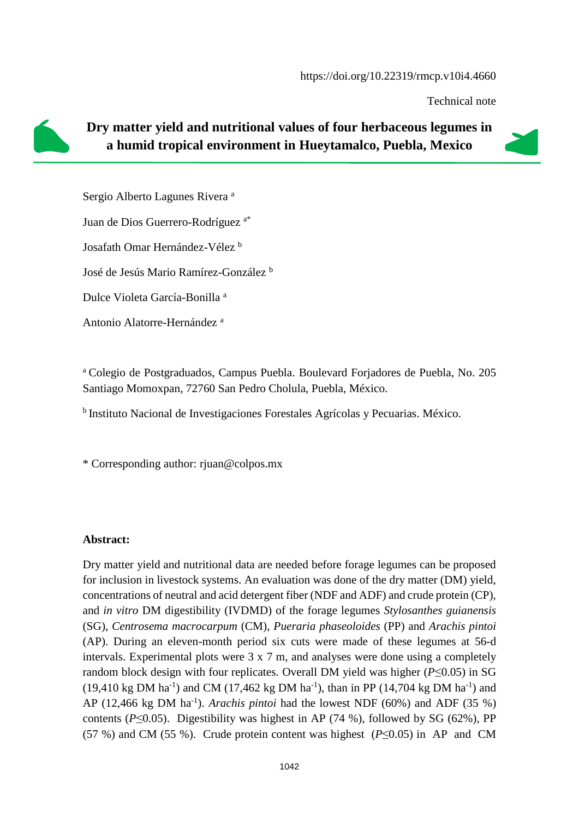Technical note



## **Dry matter yield and nutritional values of four herbaceous legumes in a humid tropical environment in Hueytamalco, Puebla, Mexico**

Sergio Alberto Lagunes Rivera <sup>a</sup> Juan de Dios Guerrero-Rodríguez a\* Josafath Omar Hernández-Vélez <sup>b</sup> José de Jesús Mario Ramírez-González <sup>b</sup> Dulce Violeta García-Bonilla <sup>a</sup>

Antonio Alatorre-Hernández <sup>a</sup>

<sup>a</sup> Colegio de Postgraduados, Campus Puebla. Boulevard Forjadores de Puebla, No. 205 Santiago Momoxpan, 72760 San Pedro Cholula, Puebla, México.

<sup>b</sup>Instituto Nacional de Investigaciones Forestales Agrícolas y Pecuarias. México.

\* Corresponding author: rjuan@colpos.mx

## **Abstract:**

Dry matter yield and nutritional data are needed before forage legumes can be proposed for inclusion in livestock systems. An evaluation was done of the dry matter (DM) yield, concentrations of neutral and acid detergent fiber (NDF and ADF) and crude protein (CP), and *in vitro* DM digestibility (IVDMD) of the forage legumes *Stylosanthes guianensis* (SG), *Centrosema macrocarpum* (CM), *Pueraria phaseoloides* (PP) and *Arachis pintoi* (AP). During an eleven-month period six cuts were made of these legumes at 56-d intervals. Experimental plots were 3 x 7 m, and analyses were done using a completely random block design with four replicates. Overall DM yield was higher (*P*≤0.05) in SG  $(19,410 \text{ kg DM ha}^{-1})$  and CM  $(17,462 \text{ kg DM ha}^{-1})$ , than in PP  $(14,704 \text{ kg DM ha}^{-1})$  and AP  $(12,466 \text{ kg } DM \text{ ha}^{-1})$ . *Arachis pintoi* had the lowest NDF  $(60\%)$  and ADF  $(35\%)$ contents ( $P \le 0.05$ ). Digestibility was highest in AP (74 %), followed by SG (62%), PP (57 %) and CM (55 %). Crude protein content was highest (*P*≤0.05) in AP and CM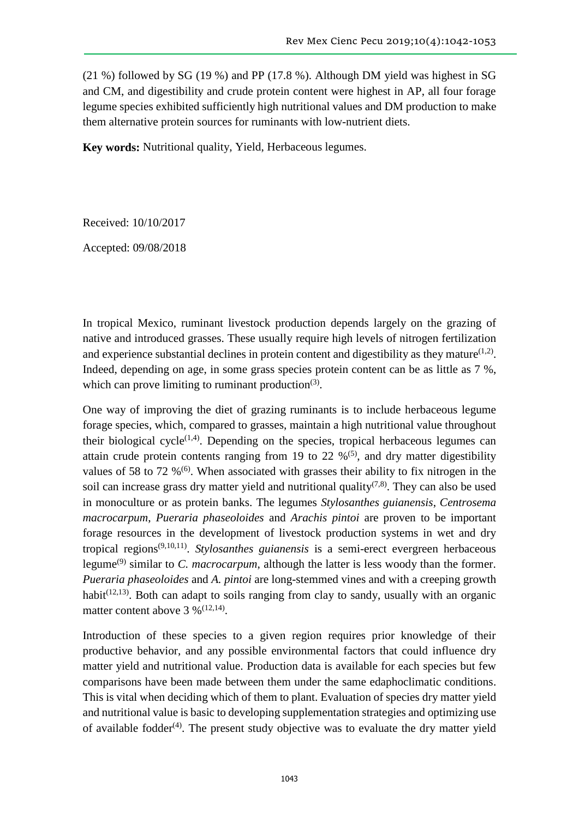(21 %) followed by SG (19 %) and PP (17.8 %). Although DM yield was highest in SG and CM, and digestibility and crude protein content were highest in AP, all four forage legume species exhibited sufficiently high nutritional values and DM production to make them alternative protein sources for ruminants with low-nutrient diets.

**Key words:** Nutritional quality, Yield, Herbaceous legumes.

Received: 10/10/2017

Accepted: 09/08/2018

In tropical Mexico, ruminant livestock production depends largely on the grazing of native and introduced grasses. These usually require high levels of nitrogen fertilization and experience substantial declines in protein content and digestibility as they mature $(1,2)$ . Indeed, depending on age, in some grass species protein content can be as little as 7 %, which can prove limiting to ruminant production $(3)$ .

One way of improving the diet of grazing ruminants is to include herbaceous legume forage species, which, compared to grasses, maintain a high nutritional value throughout their biological cycle<sup> $(1,4)$ </sup>. Depending on the species, tropical herbaceous legumes can attain crude protein contents ranging from 19 to 22  $\%$ <sup>(5)</sup>, and dry matter digestibility values of 58 to 72  $\%$ <sup>(6)</sup>. When associated with grasses their ability to fix nitrogen in the soil can increase grass dry matter yield and nutritional quality<sup> $(7,8)$ </sup>. They can also be used in monoculture or as protein banks. The legumes *Stylosanthes guianensis*, *Centrosema macrocarpum*, *Pueraria phaseoloides* and *Arachis pintoi* are proven to be important forage resources in the development of livestock production systems in wet and dry tropical regions<sup>(9,10,11)</sup>. *Stylosanthes guianensis* is a semi-erect evergreen herbaceous legume(9) similar to *C. macrocarpum*, although the latter is less woody than the former. *Pueraria phaseoloides* and *A. pintoi* are long-stemmed vines and with a creeping growth habit<sup> $(12,13)$ </sup>. Both can adapt to soils ranging from clay to sandy, usually with an organic matter content above  $3\%$ <sup>(12,14)</sup>.

Introduction of these species to a given region requires prior knowledge of their productive behavior, and any possible environmental factors that could influence dry matter yield and nutritional value. Production data is available for each species but few comparisons have been made between them under the same edaphoclimatic conditions. This is vital when deciding which of them to plant. Evaluation of species dry matter yield and nutritional value is basic to developing supplementation strategies and optimizing use of available fodder $(4)$ . The present study objective was to evaluate the dry matter yield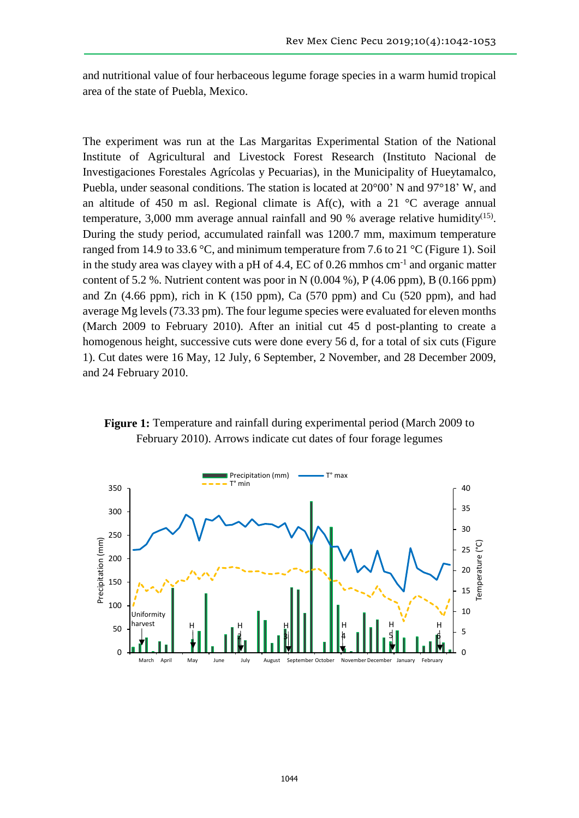and nutritional value of four herbaceous legume forage species in a warm humid tropical area of the state of Puebla, Mexico.

The experiment was run at the Las Margaritas Experimental Station of the National Institute of Agricultural and Livestock Forest Research (Instituto Nacional de Investigaciones Forestales Agrícolas y Pecuarias), in the Municipality of Hueytamalco, Puebla, under seasonal conditions. The station is located at 20°00' N and 97°18' W, and an altitude of 450 m asl. Regional climate is  $Af(c)$ , with a 21 °C average annual temperature, 3,000 mm average annual rainfall and 90 % average relative humidity<sup>(15)</sup>. During the study period, accumulated rainfall was 1200.7 mm, maximum temperature ranged from 14.9 to 33.6 °C, and minimum temperature from 7.6 to 21 °C (Figure 1). Soil in the study area was clayey with a pH of 4.4, EC of  $0.26$  mmhos  $cm<sup>-1</sup>$  and organic matter content of 5.2 %. Nutrient content was poor in N  $(0.004 \%)$ , P  $(4.06 \text{ ppm})$ , B  $(0.166 \text{ ppm})$ and Zn  $(4.66$  ppm), rich in K  $(150$  ppm), Ca  $(570$  ppm) and Cu  $(520$  ppm), and had average Mg levels (73.33 pm). The four legume species were evaluated for eleven months (March 2009 to February 2010). After an initial cut 45 d post-planting to create a homogenous height, successive cuts were done every 56 d, for a total of six cuts (Figure 1). Cut dates were 16 May, 12 July, 6 September, 2 November, and 28 December 2009, and 24 February 2010.



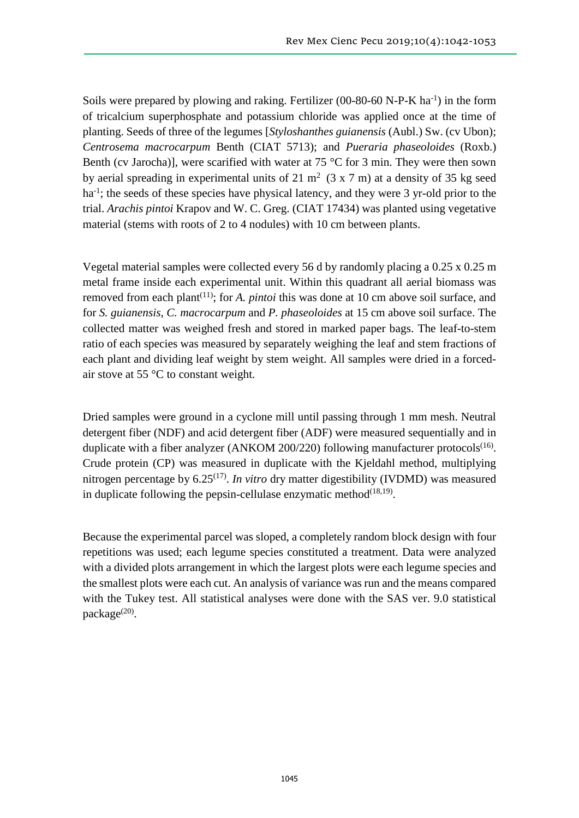Soils were prepared by plowing and raking. Fertilizer (00-80-60 N-P-K ha<sup>-1</sup>) in the form of tricalcium superphosphate and potassium chloride was applied once at the time of planting. Seeds of three of the legumes [*Styloshanthes guianensis* (Aubl.) Sw. (cv Ubon); *Centrosema macrocarpum* Benth (CIAT 5713); and *Pueraria phaseoloides* (Roxb.) Benth (cv Jarocha)], were scarified with water at 75  $\degree$ C for 3 min. They were then sown by aerial spreading in experimental units of 21 m<sup>2</sup> (3 x 7 m) at a density of 35 kg seed ha<sup>-1</sup>; the seeds of these species have physical latency, and they were 3 yr-old prior to the trial. *Arachis pintoi* Krapov and W. C. Greg. (CIAT 17434) was planted using vegetative material (stems with roots of 2 to 4 nodules) with 10 cm between plants.

Vegetal material samples were collected every 56 d by randomly placing a 0.25 x 0.25 m metal frame inside each experimental unit. Within this quadrant all aerial biomass was removed from each plant<sup>(11)</sup>; for *A. pintoi* this was done at 10 cm above soil surface, and for *S. guianensis*, *C. macrocarpum* and *P. phaseoloides* at 15 cm above soil surface. The collected matter was weighed fresh and stored in marked paper bags. The leaf-to-stem ratio of each species was measured by separately weighing the leaf and stem fractions of each plant and dividing leaf weight by stem weight. All samples were dried in a forcedair stove at 55 °C to constant weight.

Dried samples were ground in a cyclone mill until passing through 1 mm mesh. Neutral detergent fiber (NDF) and acid detergent fiber (ADF) were measured sequentially and in duplicate with a fiber analyzer (ANKOM 200/220) following manufacturer protocols<sup>(16)</sup>. Crude protein (CP) was measured in duplicate with the Kjeldahl method, multiplying nitrogen percentage by 6.25<sup>(17)</sup>. *In vitro* dry matter digestibility (IVDMD) was measured in duplicate following the pepsin-cellulase enzymatic method $(18,19)$ .

Because the experimental parcel was sloped, a completely random block design with four repetitions was used; each legume species constituted a treatment. Data were analyzed with a divided plots arrangement in which the largest plots were each legume species and the smallest plots were each cut. An analysis of variance was run and the means compared with the Tukey test. All statistical analyses were done with the SAS ver. 9.0 statistical package<sup>(20)</sup>.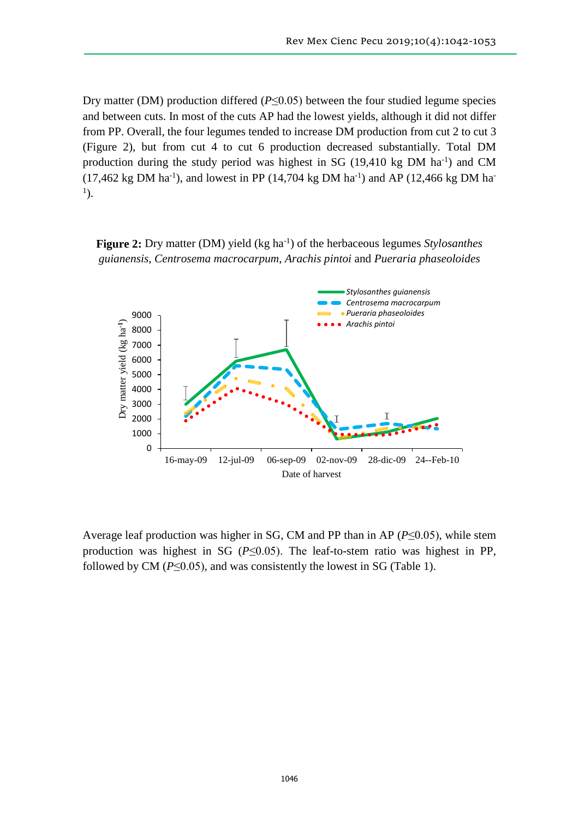Dry matter (DM) production differed  $(P \le 0.05)$  between the four studied legume species and between cuts. In most of the cuts AP had the lowest yields, although it did not differ from PP. Overall, the four legumes tended to increase DM production from cut 2 to cut 3 (Figure 2), but from cut 4 to cut 6 production decreased substantially. Total DM production during the study period was highest in SG  $(19,410 \text{ kg DM ha}^{-1})$  and CM  $(17,462 \text{ kg DM ha}^{-1})$ , and lowest in PP  $(14,704 \text{ kg DM ha}^{-1})$  and AP  $(12,466 \text{ kg DM ha}^{-1})$ 1 ).

Figure 2: Dry matter (DM) yield (kg ha<sup>-1</sup>) of the herbaceous legumes *Stylosanthes guianensis*, *Centrosema macrocarpum*, *Arachis pintoi* and *Pueraria phaseoloides*



Average leaf production was higher in SG, CM and PP than in AP (*P*≤0.05), while stem production was highest in SG (*P*≤0.05). The leaf-to-stem ratio was highest in PP, followed by CM ( $P \le 0.05$ ), and was consistently the lowest in SG (Table 1).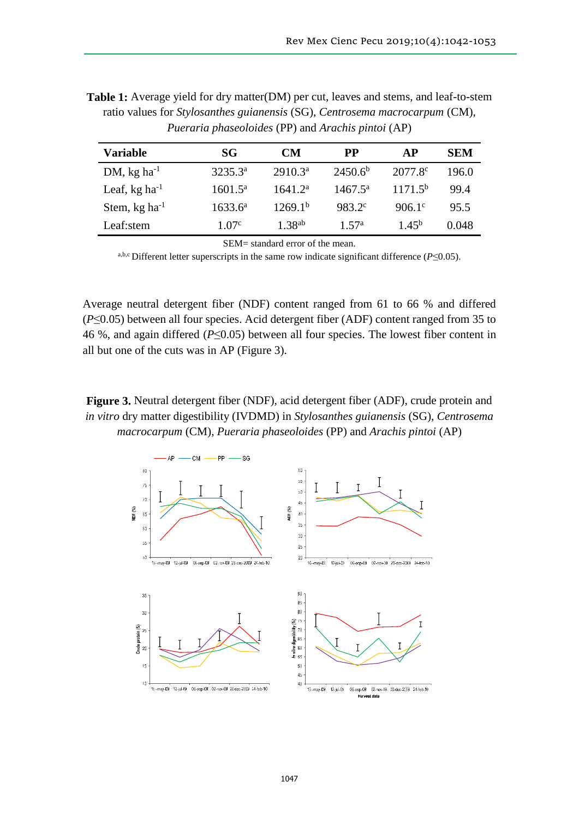| Variable                    | <b>SG</b>        | CМ                  | <b>PP</b>           | AP                  | <b>SEM</b> |
|-----------------------------|------------------|---------------------|---------------------|---------------------|------------|
| DM, $kg$ ha <sup>-1</sup>   | $3235.3^{\rm a}$ | 2910.3 <sup>a</sup> | 2450.6 <sup>b</sup> | 2077.8 <sup>c</sup> | 196.0      |
| Leaf, $kg \, ha^{-1}$       | $1601.5^{\rm a}$ | 1641.2 <sup>a</sup> | $1467.5^{\rm a}$    | 1171.5 <sup>b</sup> | 99.4       |
| Stem, $kg$ ha <sup>-1</sup> | $1633.6^{\rm a}$ | 1269.1 <sup>b</sup> | 983.2 <sup>c</sup>  | $906.1^{\circ}$     | 95.5       |
| Leaf:stem                   | 1.07 $^{\circ}$  | 1.38 <sup>ab</sup>  | $1\,57^{\rm a}$     | 1.45 <sup>b</sup>   | 0.048      |

**Table 1:** Average yield for dry matter(DM) per cut, leaves and stems, and leaf-to-stem ratio values for *Stylosanthes guianensis* (SG), *Centrosema macrocarpum* (CM), *Pueraria phaseoloides* (PP) and *Arachis pintoi* (AP)

SEM= standard error of the mean.

a,b,c Different letter superscripts in the same row indicate significant difference (*P*≤0.05).

Average neutral detergent fiber (NDF) content ranged from 61 to 66 % and differed (*P*≤0.05) between all four species. Acid detergent fiber (ADF) content ranged from 35 to 46 %, and again differed (*P*≤0.05) between all four species. The lowest fiber content in all but one of the cuts was in AP (Figure 3).

## **Figure 3.** Neutral detergent fiber (NDF), acid detergent fiber (ADF), crude protein and *in vitro* dry matter digestibility (IVDMD) in *Stylosanthes guianensis* (SG), *Centrosema macrocarpum* (CM), *Pueraria phaseoloides* (PP) and *Arachis pintoi* (AP)

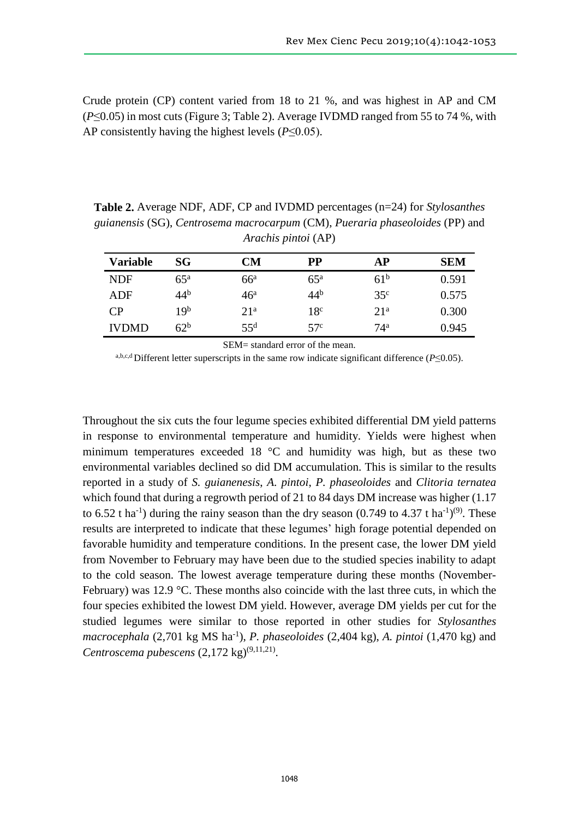Crude protein (CP) content varied from 18 to 21 %, and was highest in AP and CM (*P*≤0.05) in most cuts (Figure 3; Table 2). Average IVDMD ranged from 55 to 74 %, with AP consistently having the highest levels (*P*≤0.05).

**Table 2.** Average NDF, ADF, CP and IVDMD percentages (n=24) for *Stylosanthes guianensis* (SG), *Centrosema macrocarpum* (CM), *Pueraria phaseoloides* (PP) and *Arachis pintoi* (AP)

| <b>Variable</b> | SG              | <b>CM</b>       | PP              | AP              | <b>SEM</b> |
|-----------------|-----------------|-----------------|-----------------|-----------------|------------|
| <b>NDF</b>      | $65^{\rm a}$    | $66^{\circ}$    | $65^{\rm a}$    | 61 <sup>b</sup> | 0.591      |
| ADF             | 44 <sup>b</sup> | 46 <sup>a</sup> | 44 <sup>b</sup> | 35 <sup>c</sup> | 0.575      |
| CP              | 19 <sup>b</sup> | 21 <sup>a</sup> | 18 <sup>c</sup> | 21 <sup>a</sup> | 0.300      |
| <b>IVDMD</b>    | 62 <sup>b</sup> | $55^{\rm d}$    | 57 <sup>c</sup> | 74 <sup>a</sup> | 0.945      |

SEM= standard error of the mean.

a,b,c,d Different letter superscripts in the same row indicate significant difference (*P*≤0.05).

Throughout the six cuts the four legume species exhibited differential DM yield patterns in response to environmental temperature and humidity. Yields were highest when minimum temperatures exceeded 18 °C and humidity was high, but as these two environmental variables declined so did DM accumulation. This is similar to the results reported in a study of *S. guianenesis*, *A. pintoi*, *P. phaseoloides* and *Clitoria ternatea* which found that during a regrowth period of 21 to 84 days DM increase was higher  $(1.17)$ to 6.52 t ha<sup>-1</sup>) during the rainy season than the dry season (0.749 to 4.37 t ha<sup>-1</sup>)<sup>(9)</sup>. These results are interpreted to indicate that these legumes' high forage potential depended on favorable humidity and temperature conditions. In the present case, the lower DM yield from November to February may have been due to the studied species inability to adapt to the cold season. The lowest average temperature during these months (November-February) was 12.9 °C. These months also coincide with the last three cuts, in which the four species exhibited the lowest DM yield. However, average DM yields per cut for the studied legumes were similar to those reported in other studies for *Stylosanthes macrocephala* (2,701 kg MS ha-1 ), *P. phaseoloides* (2,404 kg), *A. pintoi* (1,470 kg) and Centroscema pubescens  $(2,172 \text{ kg})^{(9,11,21)}$ .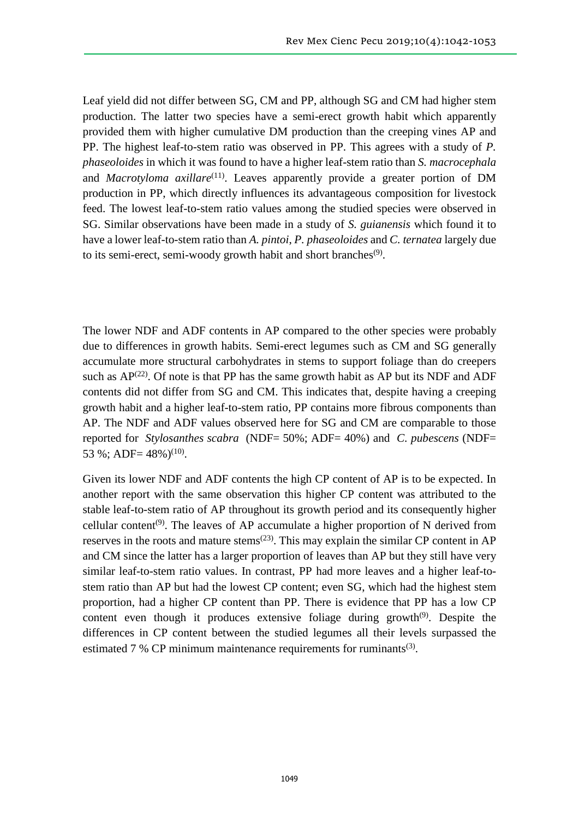Leaf yield did not differ between SG, CM and PP, although SG and CM had higher stem production. The latter two species have a semi-erect growth habit which apparently provided them with higher cumulative DM production than the creeping vines AP and PP. The highest leaf-to-stem ratio was observed in PP. This agrees with a study of *P. phaseoloides* in which it was found to have a higher leaf-stem ratio than *S. macrocephala* and *Macrotyloma axillare*<sup>(11)</sup>. Leaves apparently provide a greater portion of DM production in PP, which directly influences its advantageous composition for livestock feed. The lowest leaf-to-stem ratio values among the studied species were observed in SG. Similar observations have been made in a study of *S. guianensis* which found it to have a lower leaf-to-stem ratio than *A. pintoi*, *P. phaseoloides* and *C. ternatea* largely due to its semi-erect, semi-woody growth habit and short branches<sup>(9)</sup>.

The lower NDF and ADF contents in AP compared to the other species were probably due to differences in growth habits. Semi-erect legumes such as CM and SG generally accumulate more structural carbohydrates in stems to support foliage than do creepers such as  $AP^{(22)}$ . Of note is that PP has the same growth habit as AP but its NDF and ADF contents did not differ from SG and CM. This indicates that, despite having a creeping growth habit and a higher leaf-to-stem ratio, PP contains more fibrous components than AP. The NDF and ADF values observed here for SG and CM are comparable to those reported for *Stylosanthes scabra* (NDF= 50%; ADF= 40%) and *C. pubescens* (NDF= 53 %; ADF=  $48\%$ )<sup>(10)</sup>.

Given its lower NDF and ADF contents the high CP content of AP is to be expected. In another report with the same observation this higher CP content was attributed to the stable leaf-to-stem ratio of AP throughout its growth period and its consequently higher cellular content<sup>(9)</sup>. The leaves of AP accumulate a higher proportion of N derived from reserves in the roots and mature stems<sup> $(23)$ </sup>. This may explain the similar CP content in AP and CM since the latter has a larger proportion of leaves than AP but they still have very similar leaf-to-stem ratio values. In contrast, PP had more leaves and a higher leaf-tostem ratio than AP but had the lowest CP content; even SG, which had the highest stem proportion, had a higher CP content than PP. There is evidence that PP has a low CP content even though it produces extensive foliage during growth<sup> $(9)$ </sup>. Despite the differences in CP content between the studied legumes all their levels surpassed the estimated  $7%$  CP minimum maintenance requirements for ruminants<sup>(3)</sup>.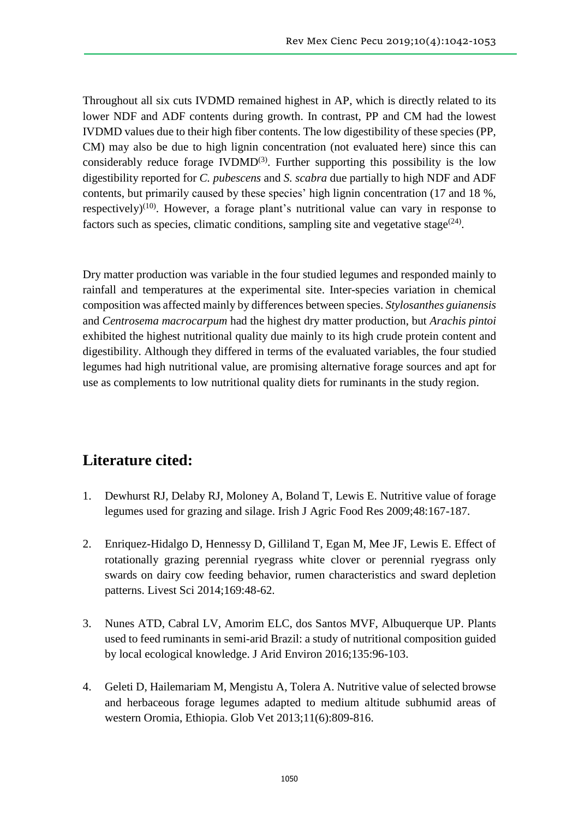Throughout all six cuts IVDMD remained highest in AP, which is directly related to its lower NDF and ADF contents during growth. In contrast, PP and CM had the lowest IVDMD values due to their high fiber contents. The low digestibility of these species (PP, CM) may also be due to high lignin concentration (not evaluated here) since this can considerably reduce forage  $IVDMD<sup>(3)</sup>$ . Further supporting this possibility is the low digestibility reported for *C. pubescens* and *S. scabra* due partially to high NDF and ADF contents, but primarily caused by these species' high lignin concentration (17 and 18 %, respectively)<sup>(10)</sup>. However, a forage plant's nutritional value can vary in response to factors such as species, climatic conditions, sampling site and vegetative stage $^{(24)}$ .

Dry matter production was variable in the four studied legumes and responded mainly to rainfall and temperatures at the experimental site. Inter-species variation in chemical composition was affected mainly by differences between species. *Stylosanthes guianensis* and *Centrosema macrocarpum* had the highest dry matter production, but *Arachis pintoi* exhibited the highest nutritional quality due mainly to its high crude protein content and digestibility. Although they differed in terms of the evaluated variables, the four studied legumes had high nutritional value, are promising alternative forage sources and apt for use as complements to low nutritional quality diets for ruminants in the study region.

## **Literature cited:**

- 1. Dewhurst RJ, Delaby RJ, Moloney A, Boland T, Lewis E. Nutritive value of forage legumes used for grazing and silage. Irish J Agric Food Res 2009;48:167-187.
- 2. Enriquez-Hidalgo D, Hennessy D, Gilliland T, Egan M, Mee JF, Lewis E. Effect of rotationally grazing perennial ryegrass white clover or perennial ryegrass only swards on dairy cow feeding behavior, rumen characteristics and sward depletion patterns. Livest Sci 2014;169:48-62.
- 3. Nunes ATD, Cabral LV, Amorim ELC, dos Santos MVF, Albuquerque UP. Plants used to feed ruminants in semi-arid Brazil: a study of nutritional composition guided by local ecological knowledge. J Arid Environ 2016;135:96-103.
- 4. Geleti D, Hailemariam M, Mengistu A, Tolera A. Nutritive value of selected browse and herbaceous forage legumes adapted to medium altitude subhumid areas of western Oromia, Ethiopia. Glob Vet 2013;11(6):809-816.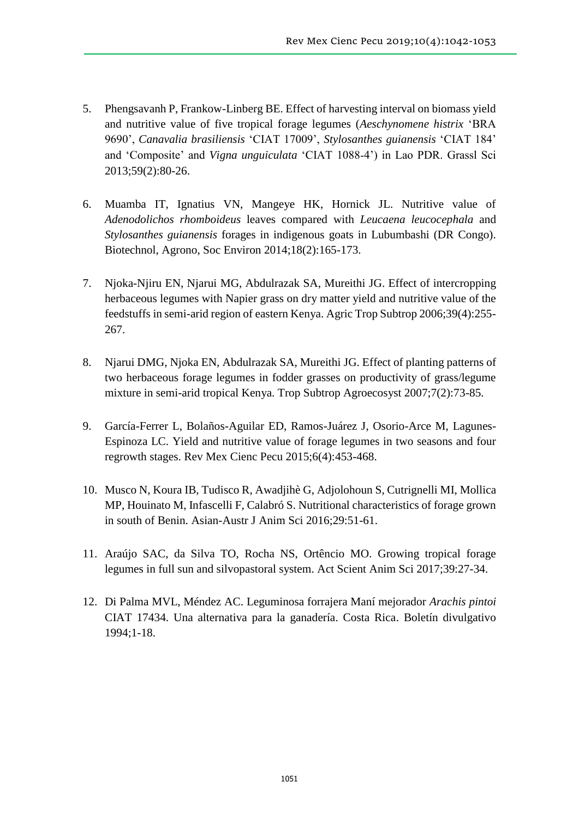- 5. Phengsavanh P, Frankow-Linberg BE. Effect of harvesting interval on biomass yield and nutritive value of five tropical forage legumes (*Aeschynomene histrix* 'BRA 9690', *Canavalia brasiliensis* 'CIAT 17009', *Stylosanthes guianensis* 'CIAT 184' and 'Composite' and *Vigna unguiculata* 'CIAT 1088‐4') in Lao PDR. Grassl Sci 2013;59(2):80-26.
- 6. Muamba IT, Ignatius VN, Mangeye HK, Hornick JL. Nutritive value of *Adenodolichos rhomboideus* leaves compared with *Leucaena leucocephala* and *Stylosanthes guianensis* forages in indigenous goats in Lubumbashi (DR Congo). Biotechnol, Agrono, Soc Environ 2014;18(2):165-173.
- 7. Njoka-Njiru EN, Njarui MG, Abdulrazak SA, Mureithi JG. Effect of intercropping herbaceous legumes with Napier grass on dry matter yield and nutritive value of the feedstuffs in semi-arid region of eastern Kenya. Agric Trop Subtrop 2006;39(4):255- 267.
- 8. Njarui DMG, Njoka EN, Abdulrazak SA, Mureithi JG. Effect of planting patterns of two herbaceous forage legumes in fodder grasses on productivity of grass/legume mixture in semi-arid tropical Kenya. Trop Subtrop Agroecosyst 2007;7(2):73-85.
- 9. García-Ferrer L, Bolaños-Aguilar ED, Ramos-Juárez J, Osorio-Arce M, Lagunes-Espinoza LC. Yield and nutritive value of forage legumes in two seasons and four regrowth stages. Rev Mex Cienc Pecu 2015;6(4):453-468.
- 10. Musco N, Koura IB, Tudisco R, Awadjihè G, Adjolohoun S, Cutrignelli MI, Mollica MP, Houinato M, Infascelli F, Calabró S. Nutritional characteristics of forage grown in south of Benin. Asian-Austr J Anim Sci 2016;29:51-61.
- 11. Araújo SAC, da Silva TO, Rocha NS, Ortêncio MO. Growing tropical forage legumes in full sun and silvopastoral system. Act Scient Anim Sci 2017;39:27-34.
- 12. Di Palma MVL, Méndez AC. Leguminosa forrajera Maní mejorador *Arachis pintoi* CIAT 17434. Una alternativa para la ganadería. Costa Rica. Boletín divulgativo 1994;1-18.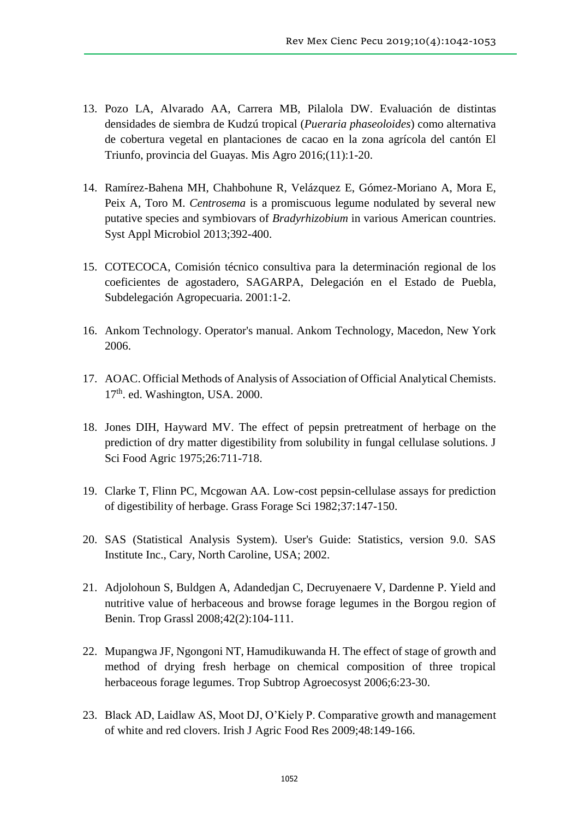- 13. Pozo LA, Alvarado AA, Carrera MB, Pilalola DW. Evaluación de distintas densidades de siembra de Kudzú tropical (*Pueraria phaseoloides*) como alternativa de cobertura vegetal en plantaciones de cacao en la zona agrícola del cantón El Triunfo, provincia del Guayas. Mis Agro 2016;(11):1-20.
- 14. Ramírez-Bahena MH, Chahbohune R, Velázquez E, Gómez-Moriano A, Mora E, Peix A, Toro M. *Centrosema* is a promiscuous legume nodulated by several new putative species and symbiovars of *Bradyrhizobium* in various American countries. Syst Appl Microbiol 2013;392-400.
- 15. COTECOCA, Comisión técnico consultiva para la determinación regional de los coeficientes de agostadero, SAGARPA, Delegación en el Estado de Puebla, Subdelegación Agropecuaria. 2001:1-2.
- 16. Ankom Technology. Operator's manual. Ankom Technology, Macedon, New York 2006.
- 17. AOAC. Official Methods of Analysis of Association of Official Analytical Chemists. 17<sup>th</sup>. ed. Washington, USA. 2000.
- 18. Jones DIH, Hayward MV. The effect of pepsin pretreatment of herbage on the prediction of dry matter digestibility from solubility in fungal cellulase solutions. J Sci Food Agric 1975;26:711-718.
- 19. Clarke T, Flinn PC, Mcgowan AA. Low-cost pepsin-cellulase assays for prediction of digestibility of herbage. Grass Forage Sci 1982;37:147-150.
- 20. SAS (Statistical Analysis System). User's Guide: Statistics, version 9.0. SAS Institute Inc., Cary, North Caroline, USA; 2002.
- 21. Adjolohoun S, Buldgen A, Adandedjan C, Decruyenaere V, Dardenne P. Yield and nutritive value of herbaceous and browse forage legumes in the Borgou region of Benin. Trop Grassl 2008;42(2):104-111.
- 22. Mupangwa JF, Ngongoni NT, Hamudikuwanda H. The effect of stage of growth and method of drying fresh herbage on chemical composition of three tropical herbaceous forage legumes. Trop Subtrop Agroecosyst 2006;6:23-30.
- 23. Black AD, Laidlaw AS, Moot DJ, O'Kiely P. Comparative growth and management of white and red clovers. Irish J Agric Food Res 2009;48:149-166.